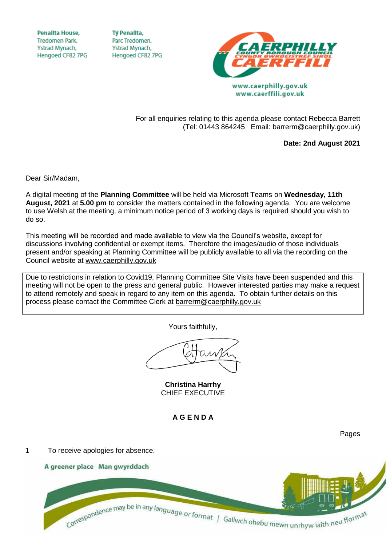**Penallta House, Tredomen Park.** Ystrad Mynach, Hengoed CF82 7PG

**TV Penallta,** Parc Tredomen. Ystrad Mynach, Hengoed CF82 7PG



www.caerffili.gov.uk

For all enquiries relating to this agenda please contact Rebecca Barrett (Tel: 01443 864245 Email: barrerm@caerphilly.gov.uk)

**Date: 2nd August 2021**

Dear Sir/Madam,

A digital meeting of the **Planning Committee** will be held via Microsoft Teams on **Wednesday, 11th August, 2021** at **5.00 pm** to consider the matters contained in the following agenda. You are welcome to use Welsh at the meeting, a minimum notice period of 3 working days is required should you wish to do so.

This meeting will be recorded and made available to view via the Council's website, except for discussions involving confidential or exempt items. Therefore the images/audio of those individuals present and/or speaking at Planning Committee will be publicly available to all via the recording on the Council website at [www.caerphilly.gov.uk](http://www.caerphilly.gov.uk/)

Due to restrictions in relation to Covid19, Planning Committee Site Visits have been suspended and this meeting will not be open to the press and general public. However interested parties may make a request to attend remotely and speak in regard to any item on this agenda. To obtain further details on this process please contact the Committee Clerk at [barrerm@caerphilly.gov.uk](mailto:barrerm@caerphilly.gov.uk)

Yours faithfully,

**Christina Harrhy** CHIEF EXECUTIVE

**A G E N D A**